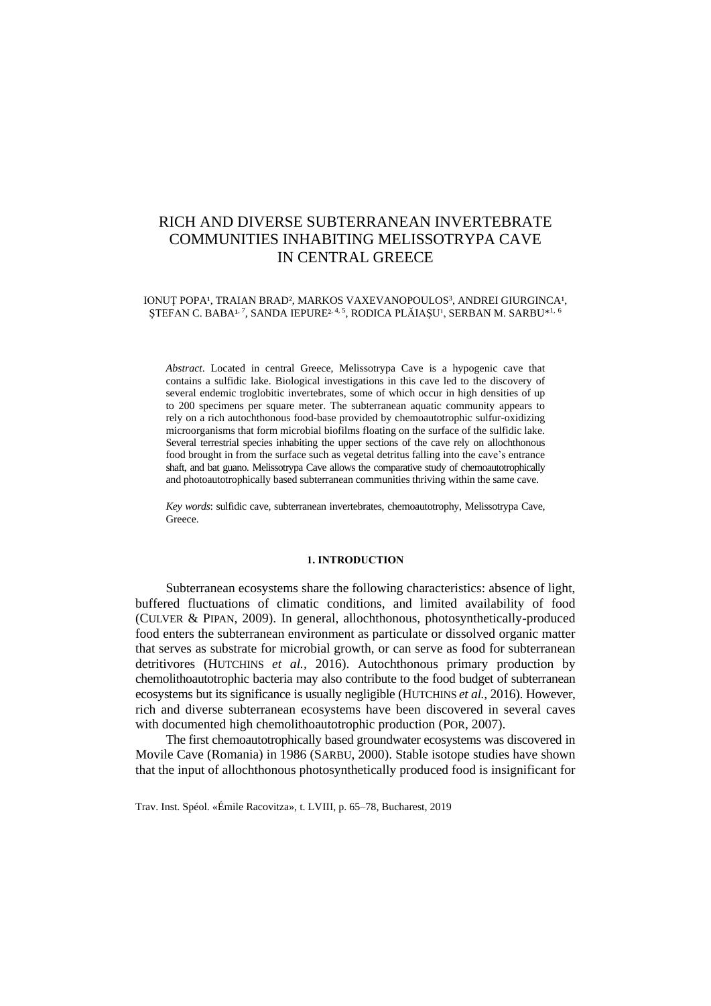# RICH AND DIVERSE SUBTERRANEAN INVERTEBRATE COMMUNITIES INHABITING MELISSOTRYPA CAVE IN CENTRAL GREECE

#### IONUȚ POPA!, TRAIAN BRAD?, MARKOS VAXEVANOPOULOS<sup>3</sup>, ANDREI GIURGINCA!, ȘTEFAN C. BABA1<sup>, 7</sup>, SANDA IEPURE<sup>2, 4, 5</sup>, RODICA PLĂIAȘU<sup>1</sup>, SERBAN M. SARBU\*<sup>1, 6</sup>

*Abstract*. Located in central Greece, Melissotrypa Cave is a hypogenic cave that contains a sulfidic lake. Biological investigations in this cave led to the discovery of several endemic troglobitic invertebrates, some of which occur in high densities of up to 200 specimens per square meter. The subterranean aquatic community appears to rely on a rich autochthonous food-base provided by chemoautotrophic sulfur-oxidizing microorganisms that form microbial biofilms floating on the surface of the sulfidic lake. Several terrestrial species inhabiting the upper sections of the cave rely on allochthonous food brought in from the surface such as vegetal detritus falling into the cave's entrance shaft, and bat guano. Melissotrypa Cave allows the comparative study of chemoautotrophically and photoautotrophically based subterranean communities thriving within the same cave.

*Key words*: sulfidic cave, subterranean invertebrates, chemoautotrophy, Melissotrypa Cave, Greece.

#### **1. INTRODUCTION**

Subterranean ecosystems share the following characteristics: absence of light, buffered fluctuations of climatic conditions, and limited availability of food (CULVER & PIPAN, 2009). In general, allochthonous, photosynthetically-produced food enters the subterranean environment as particulate or dissolved organic matter that serves as substrate for microbial growth, or can serve as food for subterranean detritivores (HUTCHINS *et al.,* 2016). Autochthonous primary production by chemolithoautotrophic bacteria may also contribute to the food budget of subterranean ecosystems but its significance is usually negligible (HUTCHINS *et al.,* 2016). However, rich and diverse subterranean ecosystems have been discovered in several caves with documented high chemolithoautotrophic production (POR, 2007).

The first chemoautotrophically based groundwater ecosystems was discovered in Movile Cave (Romania) in 1986 (SARBU, 2000). Stable isotope studies have shown that the input of allochthonous photosynthetically produced food is insignificant for

Trav. Inst. Spéol. «Émile Racovitza», t. LVIII, p. 65–78, Bucharest, 2019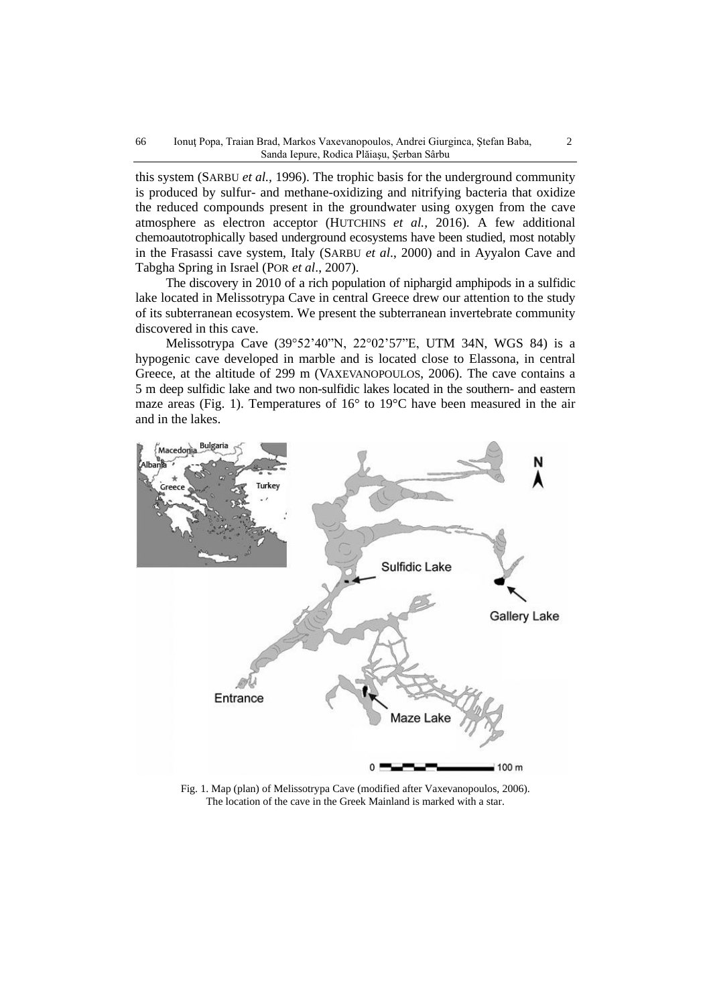this system (SARBU *et al.,* 1996). The trophic basis for the underground community is produced by sulfur- and methane-oxidizing and nitrifying bacteria that oxidize the reduced compounds present in the groundwater using oxygen from the cave atmosphere as electron acceptor (HUTCHINS *et al.,* 2016). A few additional chemoautotrophically based underground ecosystems have been studied, most notably in the Frasassi cave system, Italy (SARBU *et al*., 2000) and in Ayyalon Cave and Tabgha Spring in Israel (POR *et al*., 2007).

The discovery in 2010 of a rich population of niphargid amphipods in a sulfidic lake located in Melissotrypa Cave in central Greece drew our attention to the study of its subterranean ecosystem. We present the subterranean invertebrate community discovered in this cave.

Melissotrypa Cave (39°52'40"N, 22°02'57"E, UTM 34N, WGS 84) is a hypogenic cave developed in marble and is located close to Elassona, in central Greece, at the altitude of 299 m (VAXEVANOPOULOS, 2006). The cave contains a 5 m deep sulfidic lake and two non-sulfidic lakes located in the southern- and eastern maze areas (Fig. 1). Temperatures of 16° to 19°C have been measured in the air and in the lakes.



Fig. 1. Map (plan) of Melissotrypa Cave (modified after Vaxevanopoulos, 2006). The location of the cave in the Greek Mainland is marked with a star.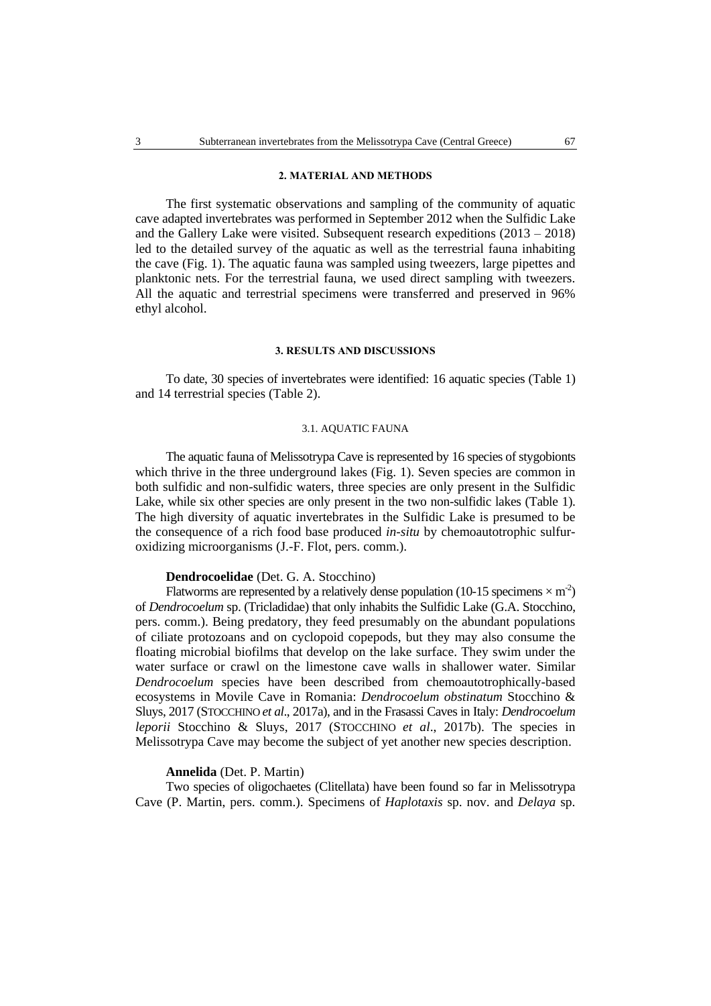# **2. MATERIAL AND METHODS**

The first systematic observations and sampling of the community of aquatic cave adapted invertebrates was performed in September 2012 when the Sulfidic Lake and the Gallery Lake were visited. Subsequent research expeditions  $(2013 - 2018)$ led to the detailed survey of the aquatic as well as the terrestrial fauna inhabiting the cave (Fig. 1). The aquatic fauna was sampled using tweezers, large pipettes and planktonic nets. For the terrestrial fauna, we used direct sampling with tweezers. All the aquatic and terrestrial specimens were transferred and preserved in 96% ethyl alcohol.

#### **3. RESULTS AND DISCUSSIONS**

To date, 30 species of invertebrates were identified: 16 aquatic species (Table 1) and 14 terrestrial species (Table 2).

#### 3.1. AQUATIC FAUNA

The aquatic fauna of Melissotrypa Cave is represented by 16 species of stygobionts which thrive in the three underground lakes (Fig. 1). Seven species are common in both sulfidic and non-sulfidic waters, three species are only present in the Sulfidic Lake, while six other species are only present in the two non-sulfidic lakes (Table 1). The high diversity of aquatic invertebrates in the Sulfidic Lake is presumed to be the consequence of a rich food base produced *in-situ* by chemoautotrophic sulfuroxidizing microorganisms (J.-F. Flot, pers. comm.).

#### **Dendrocoelidae** (Det. G. A. Stocchino)

Flatworms are represented by a relatively dense population (10-15 specimens  $\times$  m<sup>-2</sup>) of *Dendrocoelum* sp. (Tricladidae) that only inhabits the Sulfidic Lake (G.A. Stocchino, pers. comm.). Being predatory, they feed presumably on the abundant populations of ciliate protozoans and on cyclopoid copepods, but they may also consume the floating microbial biofilms that develop on the lake surface. They swim under the water surface or crawl on the limestone cave walls in shallower water. Similar *Dendrocoelum* species have been described from chemoautotrophically-based ecosystems in Movile Cave in Romania: *Dendrocoelum obstinatum* Stocchino & Sluys, 2017 (STOCCHINO *et al*., 2017a), and in the Frasassi Caves in Italy: *Dendrocoelum leporii* Stocchino & Sluys, 2017 (STOCCHINO *et al*., 2017b). The species in Melissotrypa Cave may become the subject of yet another new species description.

# **Annelida** (Det. P. Martin)

Two species of oligochaetes (Clitellata) have been found so far in Melissotrypa Cave (P. Martin, pers. comm.). Specimens of *Haplotaxis* sp. nov. and *Delaya* sp.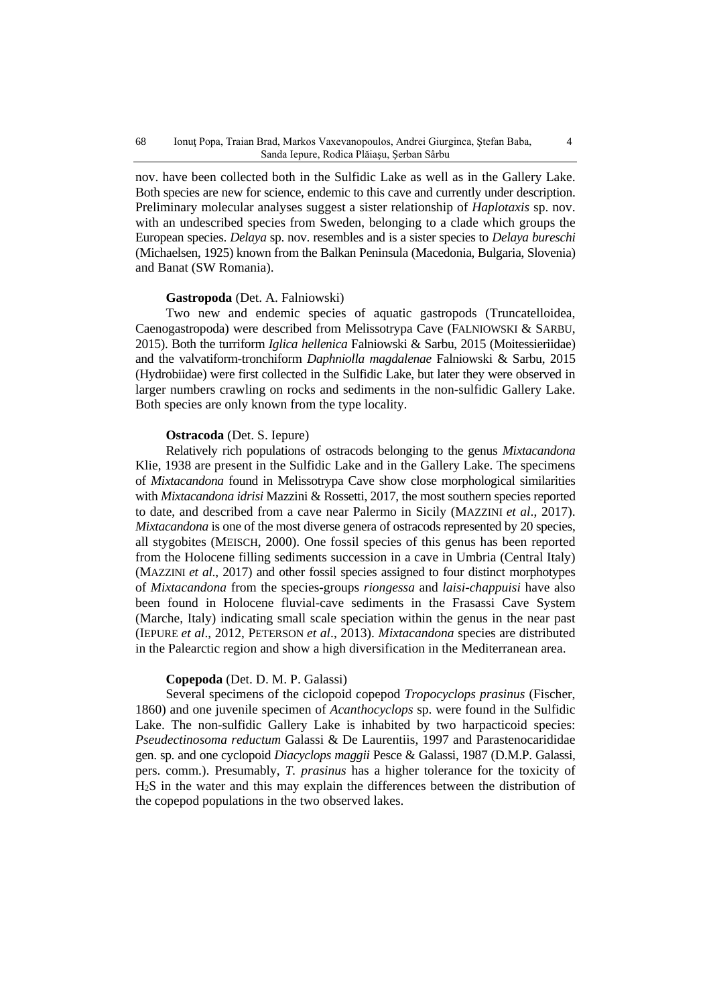nov. have been collected both in the Sulfidic Lake as well as in the Gallery Lake. Both species are new for science, endemic to this cave and currently under description. Preliminary molecular analyses suggest a sister relationship of *Haplotaxis* sp. nov. with an undescribed species from Sweden, belonging to a clade which groups the European species. *Delaya* sp. nov. resembles and is a sister species to *Delaya bureschi* (Michaelsen, 1925) known from the Balkan Peninsula (Macedonia, Bulgaria, Slovenia) and Banat (SW Romania).

# **Gastropoda** (Det. A. Falniowski)

Two new and endemic species of aquatic gastropods (Truncatelloidea, Caenogastropoda) were described from Melissotrypa Cave (FALNIOWSKI & SARBU, 2015). Both the turriform *Iglica hellenica* Falniowski & Sarbu, 2015 (Moitessieriidae) and the valvatiform-tronchiform *Daphniolla magdalenae* Falniowski & Sarbu, 2015 (Hydrobiidae) were first collected in the Sulfidic Lake, but later they were observed in larger numbers crawling on rocks and sediments in the non-sulfidic Gallery Lake. Both species are only known from the type locality.

#### **Ostracoda** (Det. S. Iepure)

Relatively rich populations of ostracods belonging to the genus *Mixtacandona* Klie, 1938 are present in the Sulfidic Lake and in the Gallery Lake. The specimens of *Mixtacandona* found in Melissotrypa Cave show close morphological similarities with *Mixtacandona idrisi* Mazzini & Rossetti, 2017, the most southern species reported to date, and described from a cave near Palermo in Sicily (MAZZINI *et al*., 2017). *Mixtacandona* is one of the most diverse genera of ostracods represented by 20 species, all stygobites (MEISCH, 2000). One fossil species of this genus has been reported from the Holocene filling sediments succession in a cave in Umbria (Central Italy) (MAZZINI *et al*., 2017) and other fossil species assigned to four distinct morphotypes of *Mixtacandona* from the species-groups *riongessa* and *laisi-chappuisi* have also been found in Holocene fluvial-cave sediments in the Frasassi Cave System (Marche, Italy) indicating small scale speciation within the genus in the near past (IEPURE *et al*., 2012, PETERSON *et al*., 2013). *Mixtacandona* species are distributed in the Palearctic region and show a high diversification in the Mediterranean area.

#### **Copepoda** (Det. D. M. P. Galassi)

Several specimens of the ciclopoid copepod *Tropocyclops prasinus* (Fischer, 1860) and one juvenile specimen of *Acanthocyclops* sp. were found in the Sulfidic Lake. The non-sulfidic Gallery Lake is inhabited by two harpacticoid species: *Pseudectinosoma reductum* Galassi & De Laurentiis, 1997 and Parastenocarididae gen. sp. and one cyclopoid *Diacyclops maggii* Pesce & Galassi, 1987 (D.M.P. Galassi, pers. comm.). Presumably, *T. prasinus* has a higher tolerance for the toxicity of H2S in the water and this may explain the differences between the distribution of the copepod populations in the two observed lakes.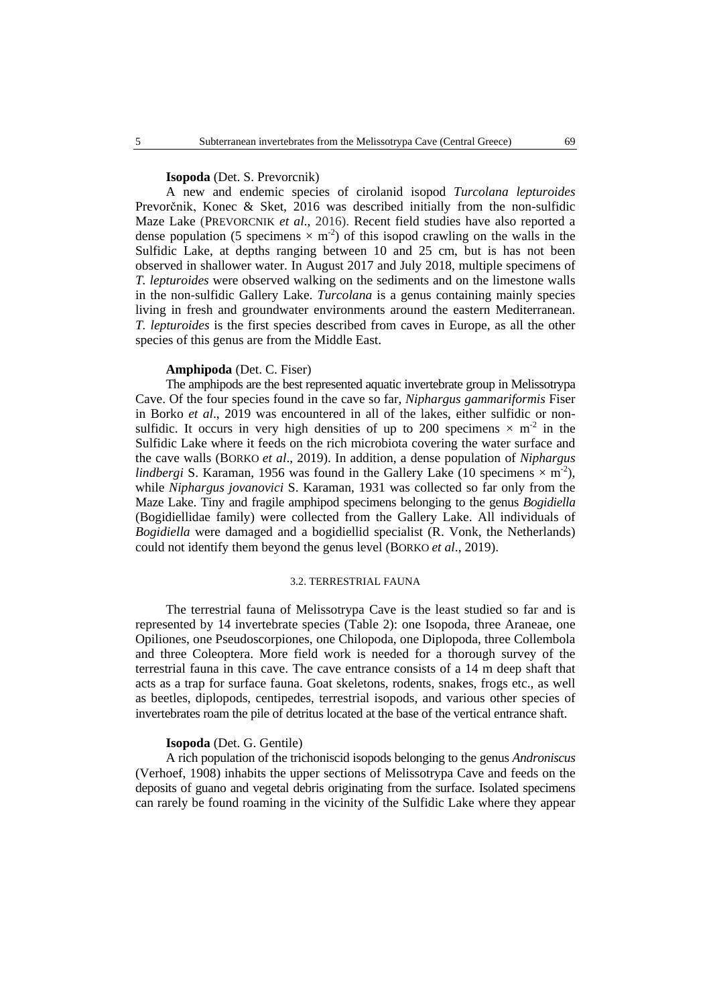# **Isopoda** (Det. S. Prevorcnik)

A new and endemic species of cirolanid isopod *Turcolana lepturoides* Prevorčnik, Konec & Sket, 2016 was described initially from the non-sulfidic Maze Lake (PREVORCNIK *et al*., 2016). Recent field studies have also reported a dense population (5 specimens  $\times$  m<sup>-2</sup>) of this isopod crawling on the walls in the Sulfidic Lake, at depths ranging between 10 and 25 cm, but is has not been observed in shallower water. In August 2017 and July 2018, multiple specimens of *T. lepturoides* were observed walking on the sediments and on the limestone walls in the non-sulfidic Gallery Lake. *Turcolana* is a genus containing mainly species living in fresh and groundwater environments around the eastern Mediterranean. *T. lepturoides* is the first species described from caves in Europe, as all the other species of this genus are from the Middle East.

# **Amphipoda** (Det. C. Fiser)

The amphipods are the best represented aquatic invertebrate group in Melissotrypa Cave. Of the four species found in the cave so far, *Niphargus gammariformis* Fiser in Borko *et al*., 2019 was encountered in all of the lakes, either sulfidic or nonsulfidic. It occurs in very high densities of up to 200 specimens  $\times$  m<sup>-2</sup> in the Sulfidic Lake where it feeds on the rich microbiota covering the water surface and the cave walls (BORKO *et al*., 2019). In addition, a dense population of *Niphargus lindbergi* S. Karaman, 1956 was found in the Gallery Lake (10 specimens  $\times$  m<sup>-2</sup>), while *Niphargus jovanovici* S. Karaman, 1931 was collected so far only from the Maze Lake. Tiny and fragile amphipod specimens belonging to the genus *Bogidiella* (Bogidiellidae family) were collected from the Gallery Lake. All individuals of *Bogidiella* were damaged and a bogidiellid specialist (R. Vonk, the Netherlands) could not identify them beyond the genus level (BORKO *et al*., 2019).

# 3.2. TERRESTRIAL FAUNA

The terrestrial fauna of Melissotrypa Cave is the least studied so far and is represented by 14 invertebrate species (Table 2): one Isopoda, three Araneae, one Opiliones, one Pseudoscorpiones, one Chilopoda, one Diplopoda, three Collembola and three Coleoptera. More field work is needed for a thorough survey of the terrestrial fauna in this cave. The cave entrance consists of a 14 m deep shaft that acts as a trap for surface fauna. Goat skeletons, rodents, snakes, frogs etc., as well as beetles, diplopods, centipedes, terrestrial isopods, and various other species of invertebrates roam the pile of detritus located at the base of the vertical entrance shaft.

### **Isopoda** (Det. G. Gentile)

A rich population of the trichoniscid isopods belonging to the genus *Androniscus* (Verhoef, 1908) inhabits the upper sections of Melissotrypa Cave and feeds on the deposits of guano and vegetal debris originating from the surface. Isolated specimens can rarely be found roaming in the vicinity of the Sulfidic Lake where they appear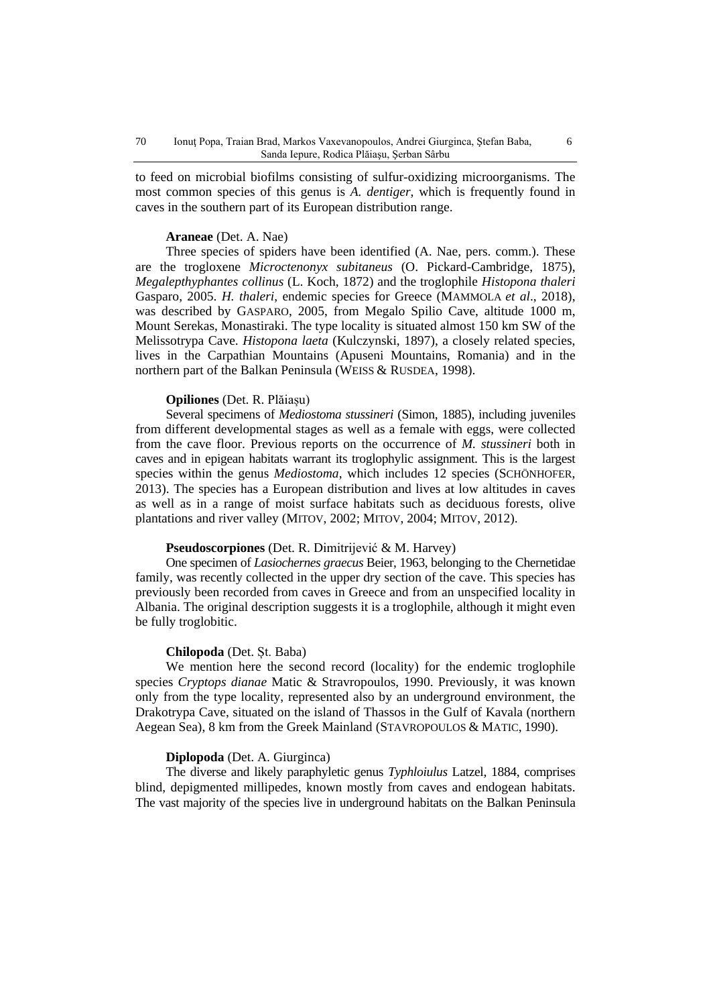to feed on microbial biofilms consisting of sulfur-oxidizing microorganisms. The most common species of this genus is *A. dentiger*, which is frequently found in caves in the southern part of its European distribution range.

#### **Araneae** (Det. A. Nae)

Three species of spiders have been identified (A. Nae, pers. comm.). These are the trogloxene *Microctenonyx subitaneus* (O. Pickard-Cambridge, 1875), *Megalepthyphantes collinus* (L. Koch, 1872) and the troglophile *Histopona thaleri* Gasparo, 2005. *H. thaleri*, endemic species for Greece (MAMMOLA *et al*., 2018), was described by GASPARO, 2005, from Megalo Spilio Cave, altitude 1000 m, Mount Serekas, Monastiraki. The type locality is situated almost 150 km SW of the Melissotrypa Cave. *Histopona laeta* (Kulczynski, 1897), a closely related species, lives in the Carpathian Mountains (Apuseni Mountains, Romania) and in the northern part of the Balkan Peninsula (WEISS & RUSDEA, 1998).

# **Opiliones** (Det. R. Plăiașu)

Several specimens of *Mediostoma stussineri* (Simon, 1885), including juveniles from different developmental stages as well as a female with eggs, were collected from the cave floor. Previous reports on the occurrence of *M. stussineri* both in caves and in epigean habitats warrant its troglophylic assignment. This is the largest species within the genus *Mediostoma*, which includes 12 species (SCHÖNHOFER, 2013). The species has a European distribution and lives at low altitudes in caves as well as in a range of moist surface habitats such as deciduous forests, olive plantations and river valley (MITOV, 2002; MITOV, 2004; MITOV, 2012).

# **Pseudoscorpiones** (Det. R. Dimitrijević & M. Harvey)

One specimen of *Lasiochernes graecus* Beier, 1963, belonging to the Chernetidae family, was recently collected in the upper dry section of the cave. This species has previously been recorded from caves in Greece and from an unspecified locality in Albania. The original description suggests it is a troglophile, although it might even be fully troglobitic.

# **Chilopoda** (Det. Șt. Baba)

We mention here the second record (locality) for the endemic troglophile species *Cryptops dianae* Matic & Stravropoulos, 1990. Previously, it was known only from the type locality, represented also by an underground environment, the Drakotrypa Cave, situated on the island of Thassos in the Gulf of Kavala (northern Aegean Sea), 8 km from the Greek Mainland (STAVROPOULOS & MATIC, 1990).

#### **Diplopoda** (Det. A. Giurginca)

The diverse and likely paraphyletic genus *Typhloiulus* Latzel, 1884, comprises blind, depigmented millipedes, known mostly from caves and endogean habitats. The vast majority of the species live in underground habitats on the Balkan Peninsula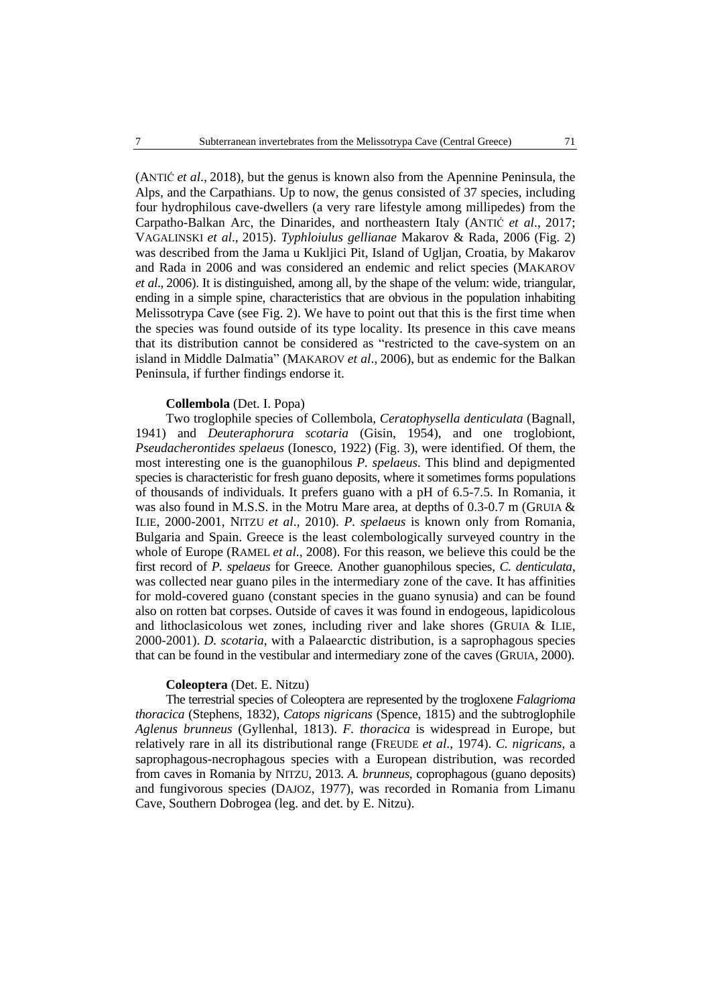(ANTIĆ *et al*., 2018), but the genus is known also from the Apennine Peninsula, the Alps, and the Carpathians. Up to now, the genus consisted of 37 species, including four hydrophilous cave-dwellers (a very rare lifestyle among millipedes) from the Carpatho-Balkan Arc, the Dinarides, and northeastern Italy (ANTIĆ *et al*., 2017; VAGALINSKI *et al*., 2015). *Typhloiulus gellianae* Makarov & Rada, 2006 (Fig. 2) was described from the Jama u Kukljici Pit, Island of Ugljan, Croatia, by Makarov and Rada in 2006 and was considered an endemic and relict species (MAKAROV *et al*., 2006). It is distinguished, among all, by the shape of the velum: wide, triangular, ending in a simple spine, characteristics that are obvious in the population inhabiting Melissotrypa Cave (see Fig. 2). We have to point out that this is the first time when the species was found outside of its type locality. Its presence in this cave means that its distribution cannot be considered as "restricted to the cave-system on an island in Middle Dalmatia" (MAKAROV *et al*., 2006), but as endemic for the Balkan Peninsula, if further findings endorse it.

# **Collembola** (Det. I. Popa)

Two troglophile species of Collembola, *Ceratophysella denticulata* (Bagnall, 1941) and *Deuteraphorura scotaria* (Gisin, 1954), and one troglobiont, *Pseudacherontides spelaeus* (Ionesco, 1922) (Fig. 3), were identified. Of them, the most interesting one is the guanophilous *P. spelaeus.* This blind and depigmented species is characteristic for fresh guano deposits, where it sometimes forms populations of thousands of individuals. It prefers guano with a pH of 6.5-7.5. In Romania, it was also found in M.S.S. in the Motru Mare area, at depths of 0.3-0.7 m (GRUIA & ILIE, 2000-2001, NITZU *et al*., 2010). *P. spelaeus* is known only from Romania, Bulgaria and Spain. Greece is the least colembologically surveyed country in the whole of Europe (RAMEL *et al*., 2008). For this reason, we believe this could be the first record of *P. spelaeus* for Greece. Another guanophilous species, *C. denticulata*, was collected near guano piles in the intermediary zone of the cave. It has affinities for mold-covered guano (constant species in the guano synusia) and can be found also on rotten bat corpses. Outside of caves it was found in endogeous, lapidicolous and lithoclasicolous wet zones, including river and lake shores (GRUIA & ILIE, 2000-2001). *D. scotaria*, with a Palaearctic distribution, is a saprophagous species that can be found in the vestibular and intermediary zone of the caves (GRUIA, 2000).

# **Coleoptera** (Det. E. Nitzu)

The terrestrial species of Coleoptera are represented by the trogloxene *Falagrioma thoracica* (Stephens, 1832), *Catops nigricans* (Spence, 1815) and the subtroglophile *Aglenus brunneus* (Gyllenhal, 1813). *F. thoracica* is widespread in Europe, but relatively rare in all its distributional range (FREUDE *et al*., 1974). *C. nigricans*, a saprophagous-necrophagous species with a European distribution, was recorded from caves in Romania by NITZU, 2013. *A. brunneus*, coprophagous (guano deposits) and fungivorous species (DAJOZ, 1977), was recorded in Romania from Limanu Cave, Southern Dobrogea (leg. and det. by E. Nitzu).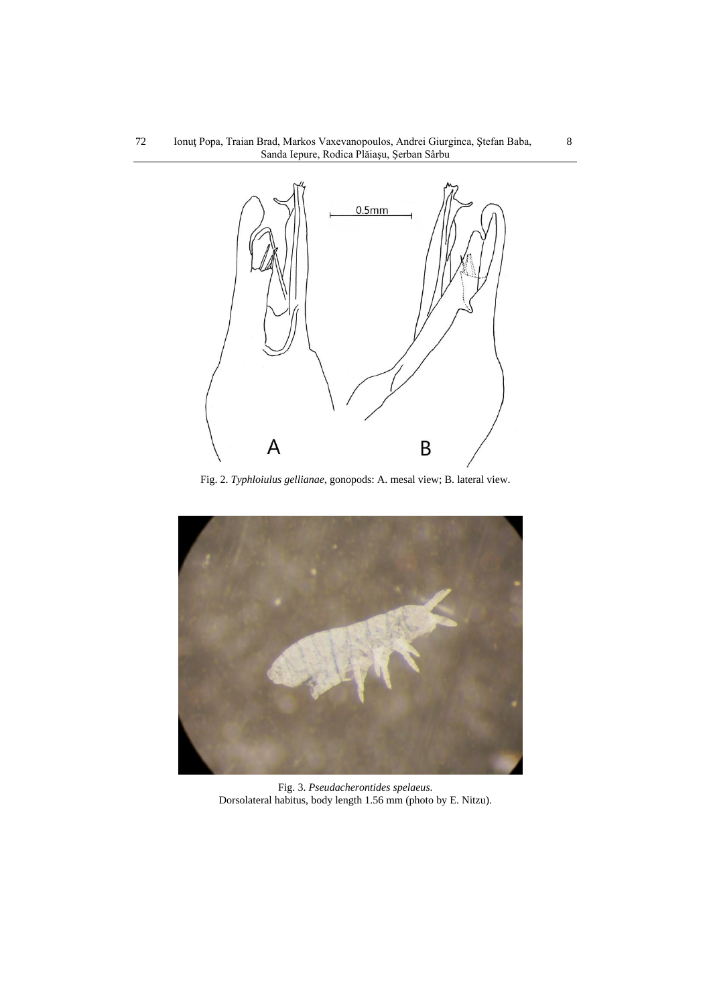

Fig. 2. *Typhloiulus gellianae*, gonopods: A. mesal view; B. lateral view.



Fig. 3. *Pseudacherontides spelaeus*. Dorsolateral habitus, body length 1.56 mm (photo by E. Nitzu).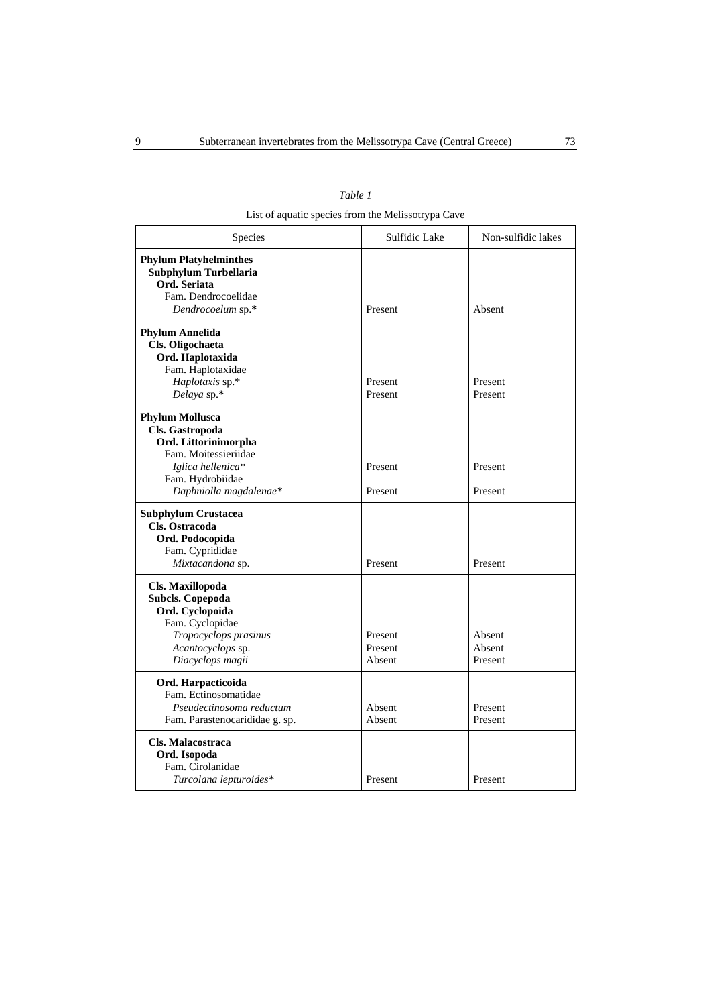| anı |  |
|-----|--|
|-----|--|

List of aquatic species from the Melissotrypa Cave

| Species                                                                                                                                                      | Sulfidic Lake                | Non-sulfidic lakes          |
|--------------------------------------------------------------------------------------------------------------------------------------------------------------|------------------------------|-----------------------------|
| <b>Phylum Platyhelminthes</b><br>Subphylum Turbellaria<br>Ord. Seriata<br>Fam. Dendrocoelidae<br>Dendrocoelum sp.*                                           | Present                      | Absent                      |
| <b>Phylum Annelida</b><br>Cls. Oligochaeta<br>Ord. Haplotaxida<br>Fam. Haplotaxidae<br>Haplotaxis sp.*<br>Delaya sp.*                                        | Present<br>Present           | Present<br>Present          |
| <b>Phylum Mollusca</b><br>Cls. Gastropoda<br>Ord. Littorinimorpha<br>Fam. Moitessieriidae<br>Iglica hellenica*<br>Fam. Hydrobiidae<br>Daphniolla magdalenae* | Present<br>Present           | Present<br>Present          |
| <b>Subphylum Crustacea</b><br>Cls. Ostracoda<br>Ord. Podocopida<br>Fam. Cyprididae<br>Mixtacandona sp.                                                       | Present                      | Present                     |
| Cls. Maxillopoda<br><b>Subcls. Copepoda</b><br>Ord. Cyclopoida<br>Fam. Cyclopidae<br>Tropocyclops prasinus<br>Acantocyclops sp.<br>Diacyclops magii          | Present<br>Present<br>Absent | Absent<br>Absent<br>Present |
| Ord. Harpacticoida<br>Fam. Ectinosomatidae<br>Pseudectinosoma reductum<br>Fam. Parastenocarididae g. sp.                                                     | Absent<br>Absent             | Present<br>Present          |
| Cls. Malacostraca<br>Ord. Isopoda<br>Fam. Cirolanidae<br>Turcolana lepturoides*                                                                              | Present                      | Present                     |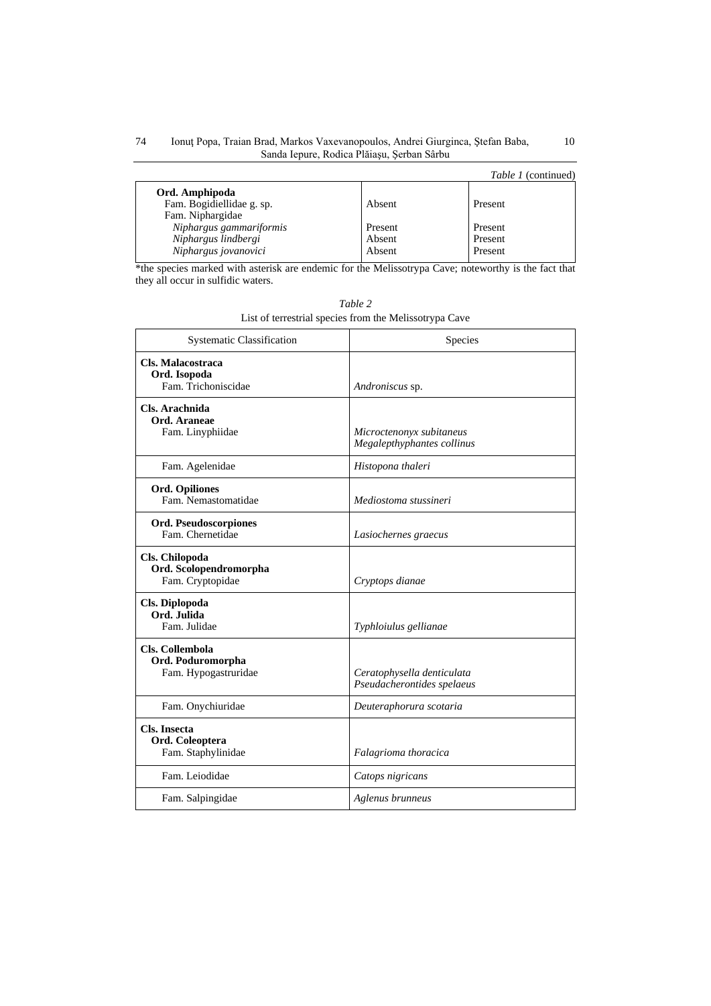#### Ionuţ Popa, Traian Brad, Markos Vaxevanopoulos, Andrei Giurginca, Ştefan Baba, 10 Sanda Iepure, Rodica Plăiaşu, Şerban Sârbu 74

# *Table 1* (continued)

|                           |         | <i>rapie i</i> communed |
|---------------------------|---------|-------------------------|
| Ord. Amphipoda            |         |                         |
| Fam. Bogidiellidae g. sp. | Absent  | Present                 |
| Fam. Niphargidae          |         |                         |
| Niphargus gammariformis   | Present | Present                 |
| Niphargus lindbergi       | Absent  | Present                 |
| Niphargus jovanovici      | Absent  | Present                 |
|                           |         |                         |

\*the species marked with asterisk are endemic for the Melissotrypa Cave; noteworthy is the fact that they all occur in sulfidic waters.

| <b>Systematic Classification</b>                             | Species                                                  |
|--------------------------------------------------------------|----------------------------------------------------------|
| Cls. Malacostraca<br>Ord. Isopoda<br>Fam. Trichoniscidae     | Androniscus sp.                                          |
| Cls. Arachnida<br>Ord. Araneae<br>Fam. Linyphiidae           | Microctenonyx subitaneus<br>Megalepthyphantes collinus   |
| Fam. Agelenidae                                              | Histopona thaleri                                        |
| <b>Ord. Opiliones</b><br>Fam. Nemastomatidae                 | Mediostoma stussineri                                    |
| Ord. Pseudoscorpiones<br>Fam. Chernetidae                    | Lasiochernes graecus                                     |
| Cls. Chilopoda<br>Ord. Scolopendromorpha<br>Fam. Cryptopidae | Cryptops dianae                                          |
| Cls. Diplopoda<br>Ord. Julida<br>Fam. Julidae                | Typhloiulus gellianae                                    |
| Cls. Collembola<br>Ord. Poduromorpha<br>Fam. Hypogastruridae | Ceratophysella denticulata<br>Pseudacherontides spelaeus |
| Fam. Onychiuridae                                            | Deuteraphorura scotaria                                  |
| <b>Cls. Insecta</b><br>Ord. Coleoptera<br>Fam. Staphylinidae | Falagrioma thoracica                                     |
| Fam. Leiodidae                                               | Catops nigricans                                         |
| Fam. Salpingidae                                             | Aglenus brunneus                                         |

| Table 2                                                |
|--------------------------------------------------------|
| List of terrestrial species from the Melissotrypa Cave |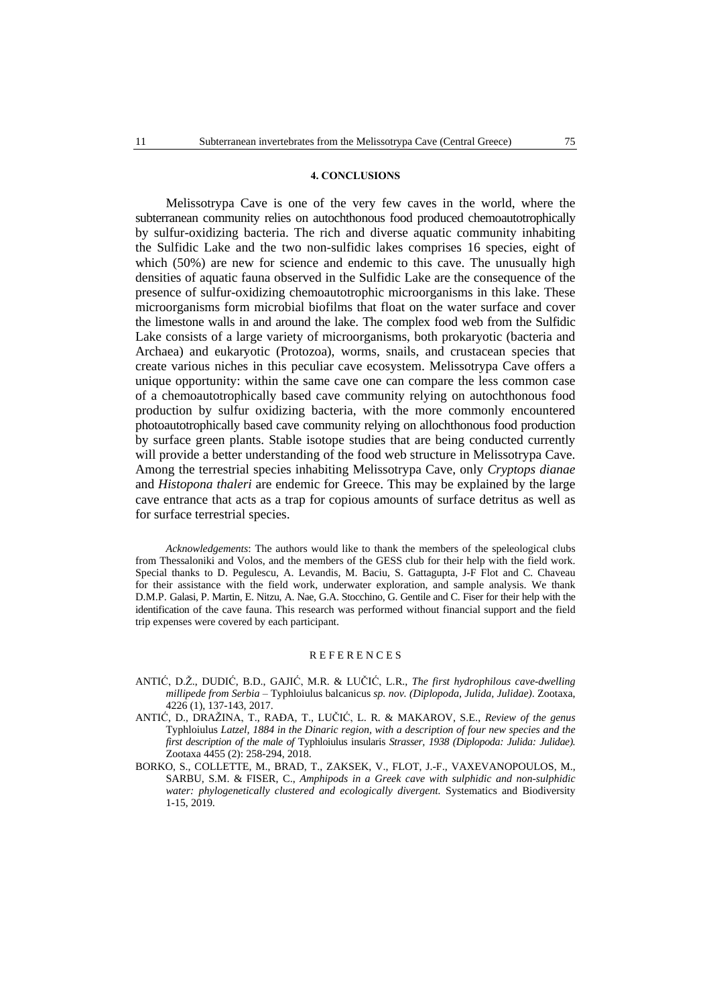#### **4. CONCLUSIONS**

Melissotrypa Cave is one of the very few caves in the world, where the subterranean community relies on autochthonous food produced chemoautotrophically by sulfur-oxidizing bacteria. The rich and diverse aquatic community inhabiting the Sulfidic Lake and the two non-sulfidic lakes comprises 16 species, eight of which (50%) are new for science and endemic to this cave. The unusually high densities of aquatic fauna observed in the Sulfidic Lake are the consequence of the presence of sulfur-oxidizing chemoautotrophic microorganisms in this lake. These microorganisms form microbial biofilms that float on the water surface and cover the limestone walls in and around the lake. The complex food web from the Sulfidic Lake consists of a large variety of microorganisms, both prokaryotic (bacteria and Archaea) and eukaryotic (Protozoa), worms, snails, and crustacean species that create various niches in this peculiar cave ecosystem. Melissotrypa Cave offers a unique opportunity: within the same cave one can compare the less common case of a chemoautotrophically based cave community relying on autochthonous food production by sulfur oxidizing bacteria, with the more commonly encountered photoautotrophically based cave community relying on allochthonous food production by surface green plants. Stable isotope studies that are being conducted currently will provide a better understanding of the food web structure in Melissotrypa Cave. Among the terrestrial species inhabiting Melissotrypa Cave, only *Cryptops dianae* and *Histopona thaleri* are endemic for Greece. This may be explained by the large cave entrance that acts as a trap for copious amounts of surface detritus as well as for surface terrestrial species.

*Acknowledgements*: The authors would like to thank the members of the speleological clubs from Thessaloniki and Volos, and the members of the GESS club for their help with the field work. Special thanks to D. Pegulescu, A. Levandis, M. Baciu, S. Gattagupta, J-F Flot and C. Chaveau for their assistance with the field work, underwater exploration, and sample analysis. We thank D.M.P. Galasi, P. Martin, E. Nitzu, A. Nae, G.A. Stocchino, G. Gentile and C. Fiser for their help with the identification of the cave fauna. This research was performed without financial support and the field trip expenses were covered by each participant.

#### **REFERENCES**

- ANTIĆ, D.Ž., DUDIĆ, B.D., GAJIĆ, M.R. & LUČIĆ, L.R., *The first hydrophilous cave-dwelling millipede from Serbia* – Typhloiulus balcanicus *sp. nov. (Diplopoda, Julida, Julidae)*. Zootaxa, 4226 (1), 137-143, 2017.
- ANTIĆ, D., DRAŽINA, T., RAĐA, T., LUČIĆ, L. R. & MAKAROV, S.E., *Review of the genus* Typhloiulus *Latzel, 1884 in the Dinaric region, with a description of four new species and the first description of the male of* Typhloiulus insularis *Strasser, 1938 (Diplopoda: Julida: Julidae).* Zootaxa 4455 (2): 258-294, 2018.
- BORKO, S., COLLETTE, M., BRAD, T., ZAKSEK, V., FLOT, J.-F., VAXEVANOPOULOS, M., SARBU, S.M. & FISER, C., *Amphipods in a Greek cave with sulphidic and non-sulphidic water: phylogenetically clustered and ecologically divergent.* Systematics and Biodiversity 1-15, 2019.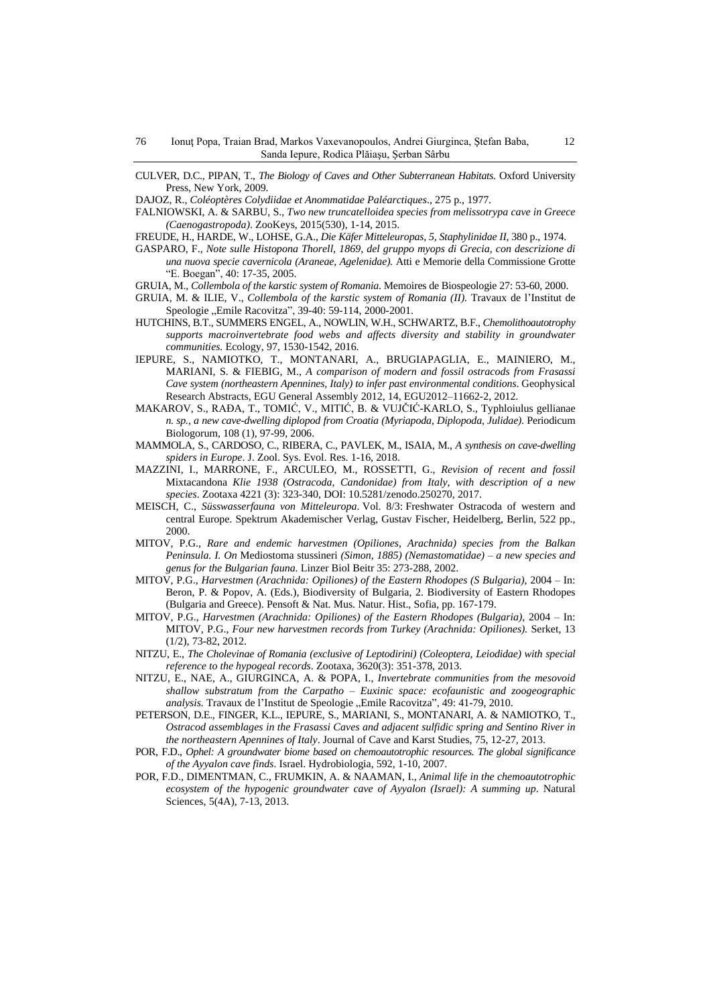CULVER, D.C., PIPAN, T., *The Biology of Caves and Other Subterranean Habitats*. Oxford University Press, New York, 2009.

DAJOZ, R., *Coléoptères Colydiidae et Anommatidae Paléarctiques*., 275 p., 1977.

FALNIOWSKI, A. & SARBU, S., *Two new truncatelloidea species from melissotrypa cave in Greece (Caenogastropoda)*. ZooKeys, 2015(530), 1-14, 2015.

FREUDE, H., HARDE, W., LOHSE, G.A., *Die Käfer Mitteleuropas, 5, Staphylinidae II*, 380 p., 1974.

- GASPARO, F., *Note sulle Histopona Thorell, 1869, del gruppo myops di Grecia, con descrizione di una nuova specie cavernicola (Araneae, Agelenidae).* Atti e Memorie della Commissione Grotte "E. Boegan", 40: 17-35, 2005.
- GRUIA, M., *Collembola of the karstic system of Romania*. Memoires de Biospeologie 27: 53-60, 2000.
- GRUIA, M. & ILIE, V., *Collembola of the karstic system of Romania (II).* Travaux de l'Institut de Speologie "Emile Racovitza", 39-40: 59-114, 2000-2001.
- HUTCHINS, B.T., SUMMERS ENGEL, A., NOWLIN, W.H., SCHWARTZ, B.F., *Chemolithoautotrophy supports macroinvertebrate food webs and affects diversity and stability in groundwater communities.* Ecology, 97, 1530-1542, 2016.
- IEPURE, S., NAMIOTKO, T., MONTANARI, A., BRUGIAPAGLIA, E., MAINIERO, M., MARIANI, S. & FIEBIG, M., *A comparison of modern and fossil ostracods from Frasassi Cave system (northeastern Apennines, Italy) to infer past environmental conditions*. Geophysical Research Abstracts, EGU General Assembly 2012, 14, EGU2012–11662-2, 2012.
- MAKAROV, S., RAĐA, T., TOMIĆ, V., MITIĆ, B. & VUJČIĆ-KARLO, S., Typhloiulus gellianae *n. sp., a new cave-dwelling diplopod from Croatia (Myriapoda, Diplopoda, Julidae)*. Periodicum Biologorum, 108 (1), 97-99, 2006.
- MAMMOLA, S., CARDOSO, C., RIBERA, C., PAVLEK, M., ISAIA, M., *A synthesis on cave-dwelling spiders in Europe*. J. Zool. Sys. Evol. Res. 1-16, 2018.
- MAZZINI, I., MARRONE, F., ARCULEO, M., ROSSETTI, G., *Revision of recent and fossil* Mixtacandona *Klie 1938 (Ostracoda, Candonidae) from Italy, with description of a new species*. Zootaxa 4221 (3): 323-340, DOI: 10.5281/zenodo.250270, 2017.
- MEISCH, C., *Süsswasserfauna von Mitteleuropa*. Vol. 8/3: Freshwater Ostracoda of western and central Europe. Spektrum Akademischer Verlag, Gustav Fischer, Heidelberg, Berlin, 522 pp., 2000.
- MITOV, P.G., *Rare and endemic harvestmen (Opiliones, Arachnida) species from the Balkan Peninsula. I. On* Mediostoma stussineri *(Simon, 1885) (Nemastomatidae) – a new species and genus for the Bulgarian fauna.* Linzer Biol Beitr 35: 273-288, 2002.
- MITOV, P.G., *Harvestmen (Arachnida: Opiliones) of the Eastern Rhodopes (S Bulgaria)*, 2004 In: Beron, P. & Popov, A. (Eds.), Biodiversity of Bulgaria, 2. Biodiversity of Eastern Rhodopes (Bulgaria and Greece). Pensoft & Nat. Mus. Natur. Hist., Sofia, pp. 167-179.
- MITOV, P.G., *Harvestmen (Arachnida: Opiliones) of the Eastern Rhodopes (Bulgaria)*, 2004 In: MITOV, P.G., *Four new harvestmen records from Turkey (Arachnida: Opiliones).* Serket, 13 (1/2), 73-82, 2012.
- NITZU, E., *The Cholevinae of Romania (exclusive of Leptodirini) (Coleoptera, Leiodidae) with special reference to the hypogeal records*. Zootaxa, 3620(3): 351-378, 2013.
- NITZU, E., NAE, A., GIURGINCA, A. & POPA, I., *Invertebrate communities from the mesovoid shallow substratum from the Carpatho – Euxinic space: ecofaunistic and zoogeographic analysis*. Travaux de l'Institut de Speologie "Emile Racovitza", 49: 41-79, 2010.
- PETERSON, D.E., FINGER, K.L., IEPURE, S., MARIANI, S., MONTANARI, A. & NAMIOTKO, T., *Ostracod assemblages in the Frasassi Caves and adjacent sulfidic spring and Sentino River in the northeastern Apennines of Italy*. Journal of Cave and Karst Studies, 75, 12-27, 2013.
- POR, F.D., *Ophel: A groundwater biome based on chemoautotrophic resources. The global significance of the Ayyalon cave finds*. Israel. Hydrobiologia, 592, 1-10, 2007.
- POR, F.D., DIMENTMAN, C., FRUMKIN, A. & NAAMAN, I., *Animal life in the chemoautotrophic ecosystem of the hypogenic groundwater cave of Ayyalon (Israel): A summing up*. Natural Sciences, 5(4A), 7-13, 2013.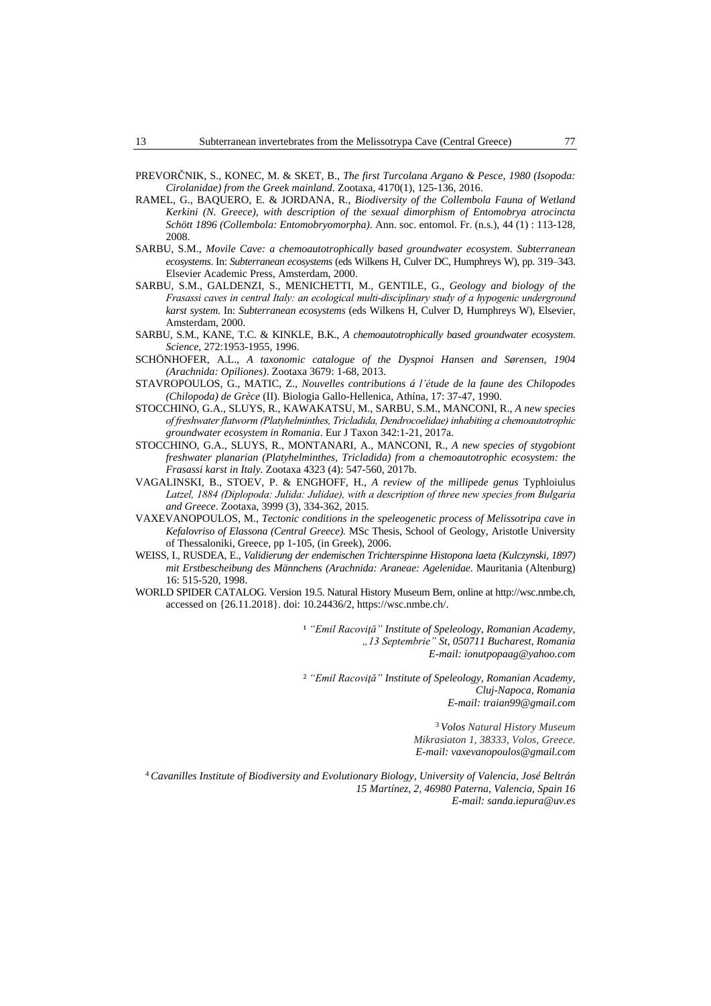- PREVORČNIK, S., KONEC, M. & SKET, B., *The first Turcolana Argano & Pesce, 1980 (Isopoda: Cirolanidae) from the Greek mainland*. Zootaxa, 4170(1), 125-136, 2016.
- RAMEL, G., BAQUERO, E. & JORDANA, R., *Biodiversity of the Collembola Fauna of Wetland Kerkini (N. Greece), with description of the sexual dimorphism of Entomobrya atrocincta Schött 1896 (Collembola: Entomobryomorpha)*. Ann. soc. entomol. Fr. (n.s.), 44 (1) : 113-128, 2008.
- SARBU, S.M., *Movile Cave: a chemoautotrophically based groundwater ecosystem. Subterranean ecosystems*. In: *Subterranean ecosystems* (eds Wilkens H, Culver DC, Humphreys W), pp. 319–343. Elsevier Academic Press, Amsterdam, 2000.
- SARBU, S.M., GALDENZI, S., MENICHETTI, M., GENTILE, G., *Geology and biology of the Frasassi caves in central Italy: an ecological multi-disciplinary study of a hypogenic underground karst system*. In: *Subterranean ecosystems* (eds Wilkens H, Culver D, Humphreys W), Elsevier, Amsterdam, 2000.
- SARBU, S.M., KANE, T.C. & KINKLE, B.K., *A chemoautotrophically based groundwater ecosystem*. *Science*, 272:1953-1955, 1996.
- SCHÖNHOFER, A.L., *A taxonomic catalogue of the Dyspnoi Hansen and Sørensen, 1904 (Arachnida: Opiliones)*. Zootaxa 3679: 1-68, 2013.
- STAVROPOULOS, G., MATIC, Z., *Nouvelles contributions á l'étude de la faune des Chilopodes (Chilopoda) de Grèce* (II). Biologia Gallo-Hellenica, Athína, 17: 37-47, 1990.
- STOCCHINO, G.A., SLUYS, R., KAWAKATSU, M., SARBU, S.M., MANCONI, R., *A new species of freshwaterflatworm (Platyhelminthes, Tricladida, Dendrocoelidae) inhabiting a chemoautotrophic groundwater ecosystem in Romania*. Eur J Taxon 342:1-21, 2017a.
- STOCCHINO, G.A., SLUYS, R., MONTANARI, A., MANCONI, R., *A new species of stygobiont freshwater planarian (Platyhelminthes, Tricladida) from a chemoautotrophic ecosystem: the Frasassi karst in Italy.* Zootaxa 4323 (4): 547-560, 2017b.
- VAGALINSKI, B., STOEV, P. & ENGHOFF, H., *A review of the millipede genus* Typhloiulus *Latzel, 1884 (Diplopoda: Julida: Julidae), with a description of three new species from Bulgaria and Greece*. Zootaxa, 3999 (3), 334-362, 2015.
- VAXEVANOPOULOS, M., *Tectonic conditions in the speleogenetic process of Melissotripa cave in Kefalovriso of Elassona (Central Greece).* MSc Thesis, School of Geology, Aristotle University of Thessaloniki, Greece, pp 1-105, (in Greek), 2006.
- WEISS, I., RUSDEA, E., *Validierung der endemischen Trichterspinne Histopona laeta (Kulczynski, 1897) mit Erstbescheibung des Männchens (Arachnida: Araneae: Agelenidae*. Mauritania (Altenburg) 16: 515-520, 1998.
- WORLD SPIDER CATALOG. Version 19.5. Natural History Museum Bern, online at http://wsc.nmbe.ch, accessed on {26.11.2018}. doi: 10.24436/2, [https://wsc.nmbe.ch/.](https://wsc.nmbe.ch/)

¹ *"Emil Racoviţă" Institute of Speleology, Romanian Academy, "13 Septembrie" St, 050711 Bucharest, Romania E-mail: [ionutpopaag@yahoo.com](mailto:ionutpopaag@yahoo.com)*

² *"Emil Racoviţă" Institute of Speleology, Romanian Academy, Cluj-Napoca, Romania E-mail: traian99@gmail.com*

> <sup>3</sup> *Volos Natural History Museum Mikrasiaton 1, 38333, Volos, Greece. E-mail: vaxevanopoulos@gmail.com*

<sup>4</sup>*Cavanilles Institute of Biodiversity and Evolutionary Biology, University of Valencia, José Beltrán 15 Martínez, 2, 46980 Paterna, Valencia, Spain 16 E-mail: sanda.iepura@uv.es*